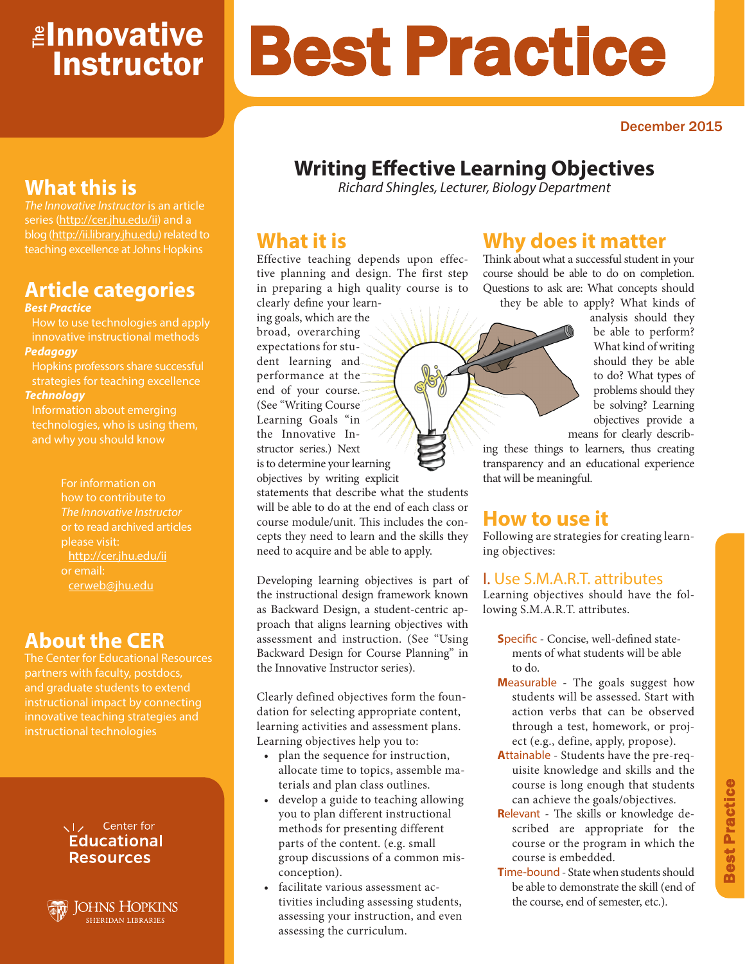# <mark>≇Innovative</mark> **Instructor**

# Best Practice

December 2015

# **Writing Effective Learning Objectives**

*Richard Shingles, Lecturer, Biology Department*

## **What it is**

Effective teaching depends upon effective planning and design. The first step in preparing a high quality course is to clearly define your learn-

ing goals, which are the broad, overarching expectations for student learning and performance at the end of your course. (See "Writing Course Learning Goals "in the Innovative Instructor series.) Next is to determine your learning objectives by writing explicit

statements that describe what the students will be able to do at the end of each class or course module/unit. This includes the concepts they need to learn and the skills they need to acquire and be able to apply.

Developing learning objectives is part of the instructional design framework known as Backward Design, a student-centric approach that aligns learning objectives with assessment and instruction. (See "Using Backward Design for Course Planning" in the Innovative Instructor series).

Clearly defined objectives form the foundation for selecting appropriate content, learning activities and assessment plans. Learning objectives help you to:

- plan the sequence for instruction, allocate time to topics, assemble materials and plan class outlines.
- develop a guide to teaching allowing you to plan different instructional methods for presenting different parts of the content. (e.g. small group discussions of a common misconception).
- facilitate various assessment activities including assessing students, assessing your instruction, and even assessing the curriculum.

## **Why does it matter**

Think about what a successful student in your course should be able to do on completion. Questions to ask are: What concepts should they be able to apply? What kinds of

analysis should they be able to perform? What kind of writing should they be able to do? What types of problems should they be solving? Learning objectives provide a means for clearly describ-

ing these things to learners, thus creating transparency and an educational experience that will be meaningful.

# **How to use it**

Following are strategies for creating learning objectives:

#### I. Use S.M.A.R.T. attributes

Learning objectives should have the following S.M.A.R.T. attributes.

- **S**pecific Concise, well-defined statements of what students will be able to do.
- **M**easurable The goals suggest how students will be assessed. Start with action verbs that can be observed through a test, homework, or project (e.g., define, apply, propose).
- **A**ttainable Students have the pre-requisite knowledge and skills and the course is long enough that students can achieve the goals/objectives.
- **R**elevant The skills or knowledge described are appropriate for the course or the program in which the course is embedded.
- **T**ime-bound State when students should be able to demonstrate the skill (end of the course, end of semester, etc.).

# **What this is**

*The Innovative Instructor* is an article series (http://cer.jhu.edu/ii) and a blog (http://ii.library.jhu.edu) related to teaching excellence at Johns Hopkins

# **Article categories**

#### *Best Practice*

How to use technologies and apply innovative instructional methods *Pedagogy*

Hopkins professors share successful strategies for teaching excellence

#### *Technology*

Information about emerging technologies, who is using them, and why you should know

> For information on how to contribute to *The Innovative Instructor* or to read archived articles please visit: http://cer.jhu.edu/ii or email: cerweb@jhu.edu

## **About the CER**

The Center for Educational Resources and graduate students to extend innovative teaching strategies and instructional technologies



**JOHNS HOPKINS SHERIDAN LIBRARIES**